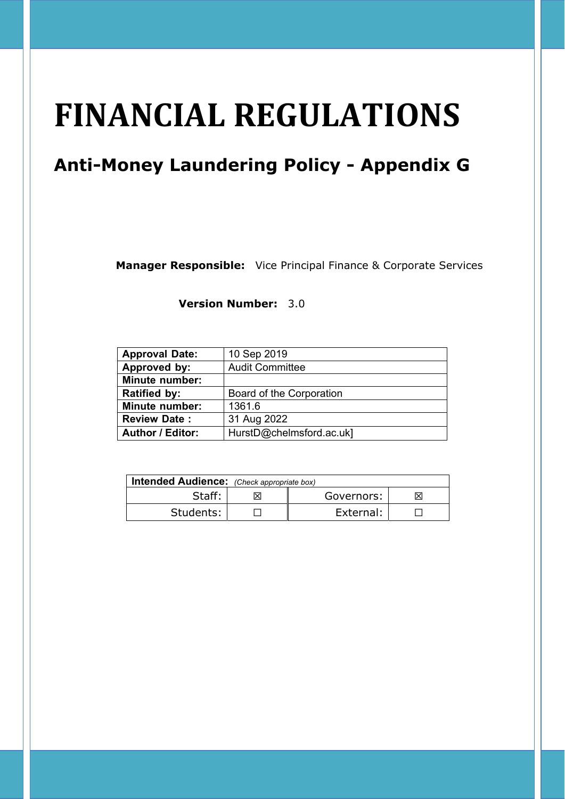# **FINANCIAL REGULATIONS**

# **Anti-Money Laundering Policy - Appendix G**

**Manager Responsible:** Vice Principal Finance & Corporate Services

**Version Number:** 3.0

| <b>Approval Date:</b>   | 10 Sep 2019              |
|-------------------------|--------------------------|
| Approved by:            | <b>Audit Committee</b>   |
| <b>Minute number:</b>   |                          |
| <b>Ratified by:</b>     | Board of the Corporation |
| <b>Minute number:</b>   | 1361.6                   |
| <b>Review Date:</b>     | 31 Aug 2022              |
| <b>Author / Editor:</b> | HurstD@chelmsford.ac.uk] |

| Intended Audience: (Check appropriate box) |  |            |    |  |
|--------------------------------------------|--|------------|----|--|
| Staff:                                     |  | Governors: | IХ |  |
| Students:                                  |  | External:  |    |  |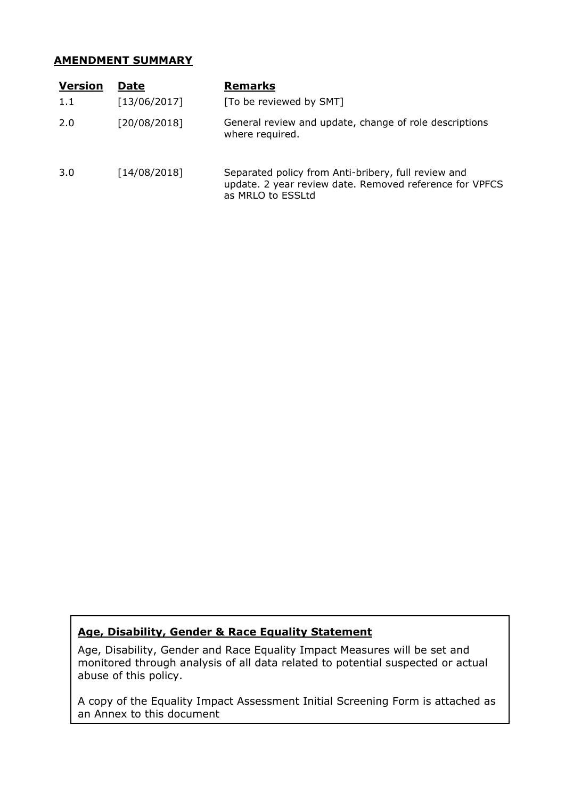#### **AMENDMENT SUMMARY**

| <b>Version</b> | <b>Date</b>  | <b>Remarks</b>                                                                                                                      |
|----------------|--------------|-------------------------------------------------------------------------------------------------------------------------------------|
| 1.1            | [13/06/2017] | [To be reviewed by SMT]                                                                                                             |
| 2.0            | [20/08/2018] | General review and update, change of role descriptions<br>where required.                                                           |
| 3.0            | [14/08/2018] | Separated policy from Anti-bribery, full review and<br>update. 2 year review date. Removed reference for VPFCS<br>as MRLO to ESSLtd |

### **Age, Disability, Gender & Race Equality Statement**

Age, Disability, Gender and Race Equality Impact Measures will be set and monitored through analysis of all data related to potential suspected or actual abuse of this policy.

A copy of the Equality Impact Assessment Initial Screening Form is attached as an Annex to this document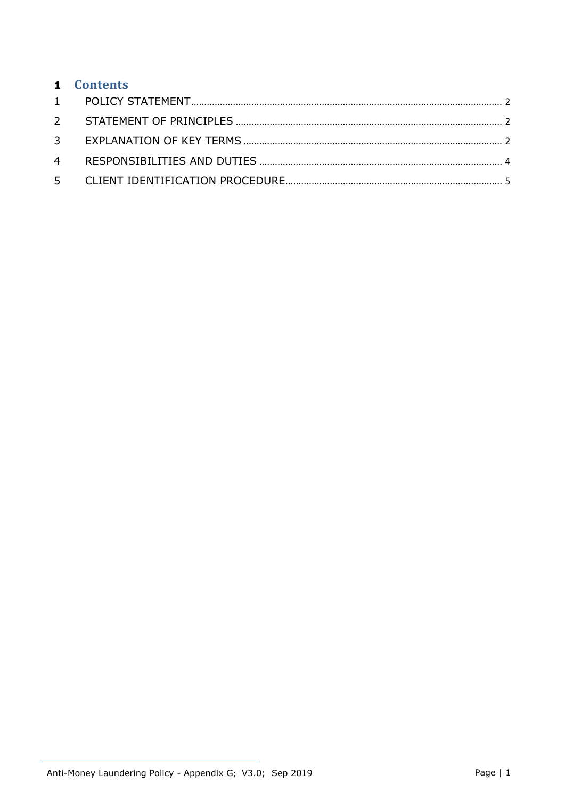| 1 Contents |  |
|------------|--|
|            |  |
|            |  |
|            |  |
|            |  |
|            |  |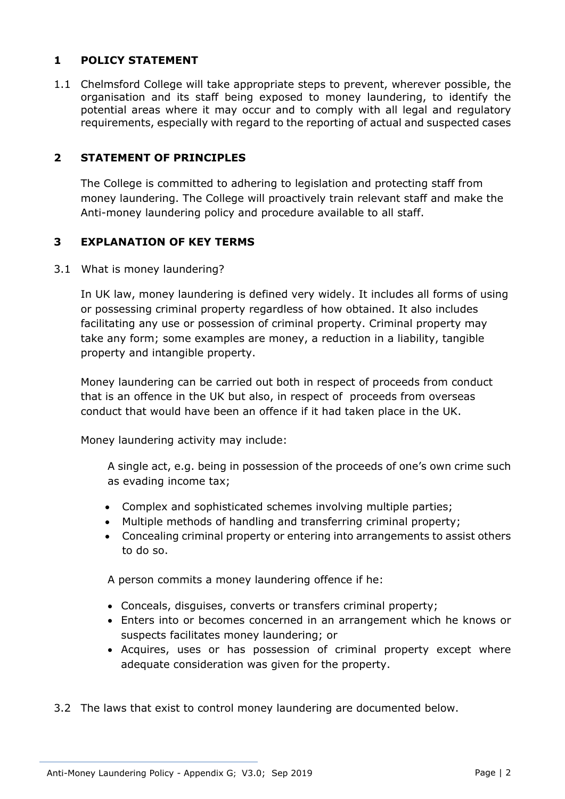### **1 POLICY STATEMENT**

1.1 Chelmsford College will take appropriate steps to prevent, wherever possible, the organisation and its staff being exposed to money laundering, to identify the potential areas where it may occur and to comply with all legal and regulatory requirements, especially with regard to the reporting of actual and suspected cases

#### **2 STATEMENT OF PRINCIPLES**

The College is committed to adhering to legislation and protecting staff from money laundering. The College will proactively train relevant staff and make the Anti-money laundering policy and procedure available to all staff.

#### **3 EXPLANATION OF KEY TERMS**

3.1 What is money laundering?

In UK law, money laundering is defined very widely. It includes all forms of using or possessing criminal property regardless of how obtained. It also includes facilitating any use or possession of criminal property. Criminal property may take any form; some examples are money, a reduction in a liability, tangible property and intangible property.

Money laundering can be carried out both in respect of proceeds from conduct that is an offence in the UK but also, in respect of proceeds from overseas conduct that would have been an offence if it had taken place in the UK.

Money laundering activity may include:

A single act, e.g. being in possession of the proceeds of one's own crime such as evading income tax;

- Complex and sophisticated schemes involving multiple parties;
- Multiple methods of handling and transferring criminal property;
- Concealing criminal property or entering into arrangements to assist others to do so.

A person commits a money laundering offence if he:

- Conceals, disguises, converts or transfers criminal property;
- Enters into or becomes concerned in an arrangement which he knows or suspects facilitates money laundering; or
- Acquires, uses or has possession of criminal property except where adequate consideration was given for the property.
- 3.2 The laws that exist to control money laundering are documented below.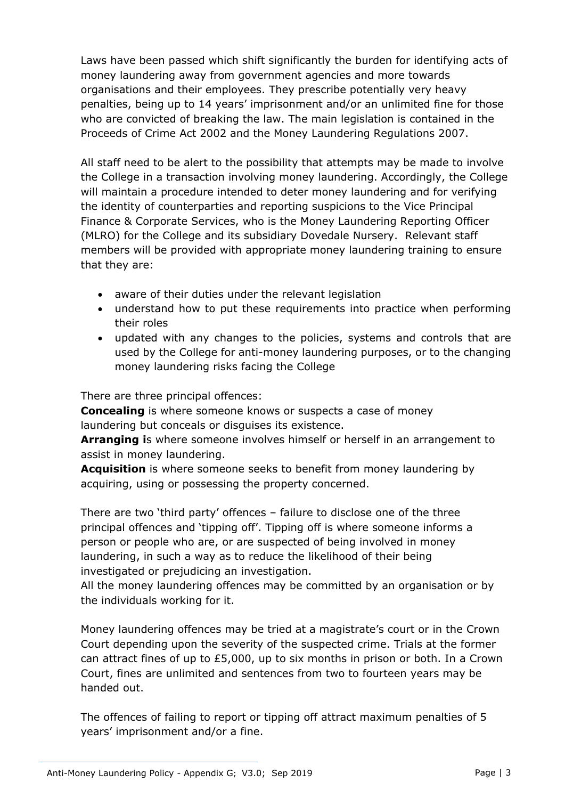Laws have been passed which shift significantly the burden for identifying acts of money laundering away from government agencies and more towards organisations and their employees. They prescribe potentially very heavy penalties, being up to 14 years' imprisonment and/or an unlimited fine for those who are convicted of breaking the law. The main legislation is contained in the Proceeds of Crime Act 2002 and the Money Laundering Regulations 2007.

All staff need to be alert to the possibility that attempts may be made to involve the College in a transaction involving money laundering. Accordingly, the College will maintain a procedure intended to deter money laundering and for verifying the identity of counterparties and reporting suspicions to the Vice Principal Finance & Corporate Services, who is the Money Laundering Reporting Officer (MLRO) for the College and its subsidiary Dovedale Nursery. Relevant staff members will be provided with appropriate money laundering training to ensure that they are:

- aware of their duties under the relevant legislation
- understand how to put these requirements into practice when performing their roles
- updated with any changes to the policies, systems and controls that are used by the College for anti-money laundering purposes, or to the changing money laundering risks facing the College

There are three principal offences:

 **Concealing** is where someone knows or suspects a case of money laundering but conceals or disguises its existence.

**Arranging i**s where someone involves himself or herself in an arrangement to assist in money laundering.

 **Acquisition** is where someone seeks to benefit from money laundering by acquiring, using or possessing the property concerned.

 There are two 'third party' offences – failure to disclose one of the three principal offences and 'tipping off'. Tipping off is where someone informs a person or people who are, or are suspected of being involved in money laundering, in such a way as to reduce the likelihood of their being investigated or prejudicing an investigation.

All the money laundering offences may be committed by an organisation or by the individuals working for it.

Money laundering offences may be tried at a magistrate's court or in the Crown Court depending upon the severity of the suspected crime. Trials at the former can attract fines of up to £5,000, up to six months in prison or both. In a Crown Court, fines are unlimited and sentences from two to fourteen years may be handed out.

The offences of failing to report or tipping off attract maximum penalties of 5 years' imprisonment and/or a fine.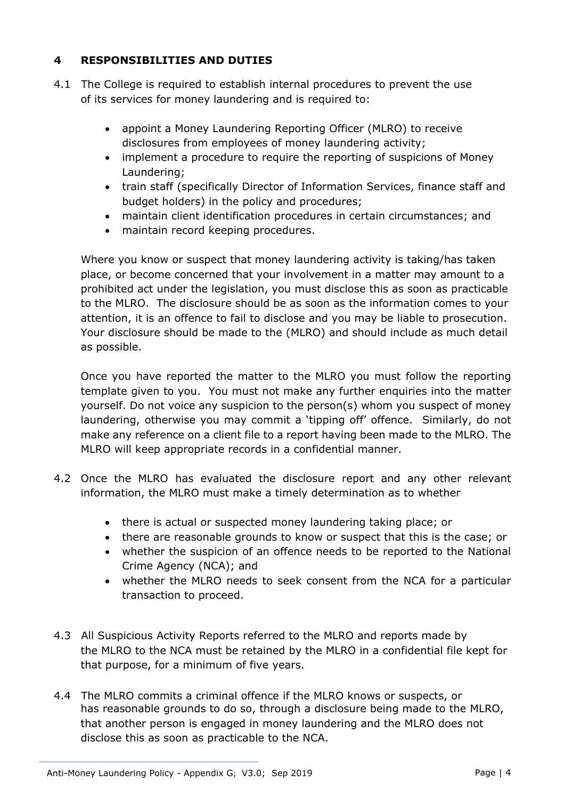# **4 RESPONSIBILITIES AND DUTIES**

- 4.1 The College is required to establish internal procedures to prevent the use of its services for money laundering and is required to:
	- appoint a Money Laundering Reporting Officer (MLRO) to receive disclosures from employees of money laundering activity;
	- implement a procedure to require the reporting of suspicions of Money Laundering;
	- train staff (specifically Director of Information Services, finance staff and budget holders) in the policy and procedures;
	- maintain client identification procedures in certain circumstances; and
	- maintain record keeping procedures.

Where you know or suspect that money laundering activity is taking/has taken place, or become concerned that your involvement in a matter may amount to a prohibited act under the legislation, you must disclose this as soon as practicable to the MLRO. The disclosure should be as soon as the information comes to your attention, it is an offence to fail to disclose and you may be liable to prosecution. Your disclosure should be made to the (MLRO) and should include as much detail as possible.

Once you have reported the matter to the MLRO you must follow the reporting template given to you. You must not make any further enquiries into the matter yourself. Do not voice any suspicion to the person(s) whom you suspect of money laundering, otherwise you may commit a 'tipping off' offence. Similarly, do not make any reference on a client file to a report having been made to the MLRO. The MLRO will keep appropriate records in a confidential manner.

- 4.2 Once the MLRO has evaluated the disclosure report and any other relevant information, the MLRO must make a timely determination as to whether
	- there is actual or suspected money laundering taking place; or
	- there are reasonable grounds to know or suspect that this is the case; or
	- whether the suspicion of an offence needs to be reported to the National Crime Agency (NCA); and
	- whether the MLRO needs to seek consent from the NCA for a particular transaction to proceed.
- 4.3 All Suspicious Activity Reports referred to the MLRO and reports made by the MLRO to the NCA must be retained by the MLRO in a confidential file kept for that purpose, for a minimum of five years.
- 4.4 The MLRO commits a criminal offence if the MLRO knows or suspects, or has reasonable grounds to do so, through a disclosure being made to the MLRO, that another person is engaged in money laundering and the MLRO does not disclose this as soon as practicable to the NCA.

Anti-Money Laundering Policy - Appendix G; V3.0; Sep 2019 Page 14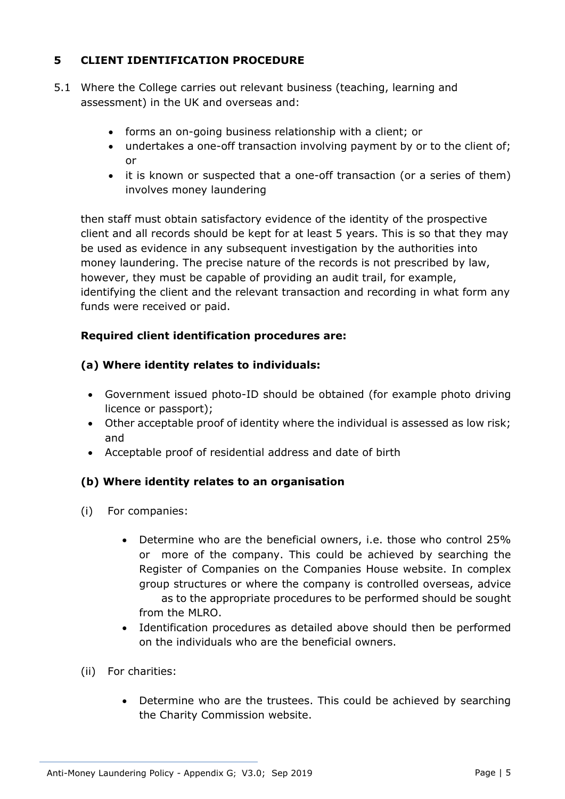# **5 CLIENT IDENTIFICATION PROCEDURE**

- 5.1 Where the College carries out relevant business (teaching, learning and assessment) in the UK and overseas and:
	- forms an on-going business relationship with a client; or
	- undertakes a one-off transaction involving payment by or to the client of; or
	- it is known or suspected that a one-off transaction (or a series of them) involves money laundering

then staff must obtain satisfactory evidence of the identity of the prospective client and all records should be kept for at least 5 years. This is so that they may be used as evidence in any subsequent investigation by the authorities into money laundering. The precise nature of the records is not prescribed by law, however, they must be capable of providing an audit trail, for example, identifying the client and the relevant transaction and recording in what form any funds were received or paid.

### **Required client identification procedures are:**

#### **(a) Where identity relates to individuals:**

- Government issued photo-ID should be obtained (for example photo driving licence or passport);
- Other acceptable proof of identity where the individual is assessed as low risk; and
- Acceptable proof of residential address and date of birth

### **(b) Where identity relates to an organisation**

- (i) For companies:
	- Determine who are the beneficial owners, i.e. those who control 25% or more of the company. This could be achieved by searching the Register of Companies on the Companies House website. In complex group structures or where the company is controlled overseas, advice as to the appropriate procedures to be performed should be sought from the MLRO.
	- Identification procedures as detailed above should then be performed on the individuals who are the beneficial owners.
- (ii) For charities:
	- Determine who are the trustees. This could be achieved by searching the Charity Commission website.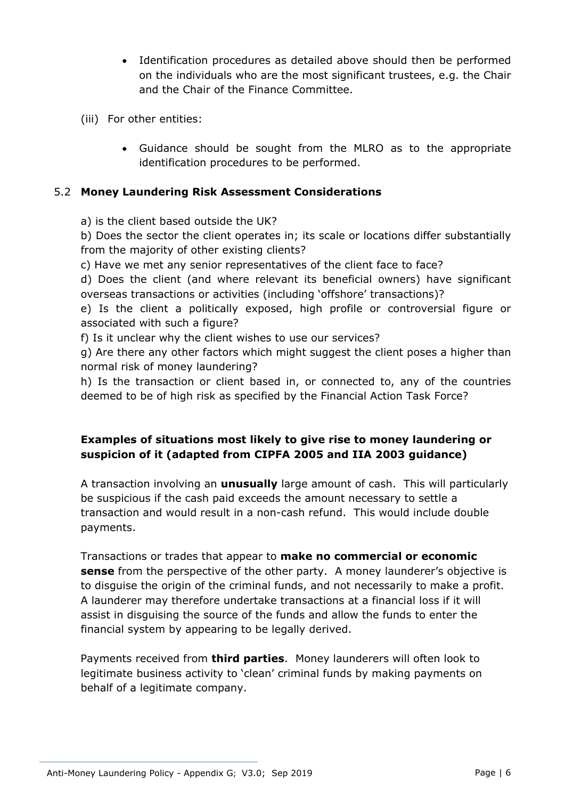- Identification procedures as detailed above should then be performed on the individuals who are the most significant trustees, e.g. the Chair and the Chair of the Finance Committee.
- (iii) For other entities:
	- Guidance should be sought from the MLRO as to the appropriate identification procedures to be performed.

#### 5.2 **Money Laundering Risk Assessment Considerations**

a) is the client based outside the UK?

b) Does the sector the client operates in; its scale or locations differ substantially from the majority of other existing clients?

c) Have we met any senior representatives of the client face to face?

d) Does the client (and where relevant its beneficial owners) have significant overseas transactions or activities (including 'offshore' transactions)?

e) Is the client a politically exposed, high profile or controversial figure or associated with such a figure?

f) Is it unclear why the client wishes to use our services?

g) Are there any other factors which might suggest the client poses a higher than normal risk of money laundering?

h) Is the transaction or client based in, or connected to, any of the countries deemed to be of high risk as specified by the Financial Action Task Force?

### **Examples of situations most likely to give rise to money laundering or suspicion of it (adapted from CIPFA 2005 and IIA 2003 guidance)**

A transaction involving an **unusually** large amount of cash. This will particularly be suspicious if the cash paid exceeds the amount necessary to settle a transaction and would result in a non-cash refund. This would include double payments.

Transactions or trades that appear to **make no commercial or economic sense** from the perspective of the other party. A money launderer's objective is to disguise the origin of the criminal funds, and not necessarily to make a profit. A launderer may therefore undertake transactions at a financial loss if it will assist in disguising the source of the funds and allow the funds to enter the financial system by appearing to be legally derived.

Payments received from **third parties**. Money launderers will often look to legitimate business activity to 'clean' criminal funds by making payments on behalf of a legitimate company.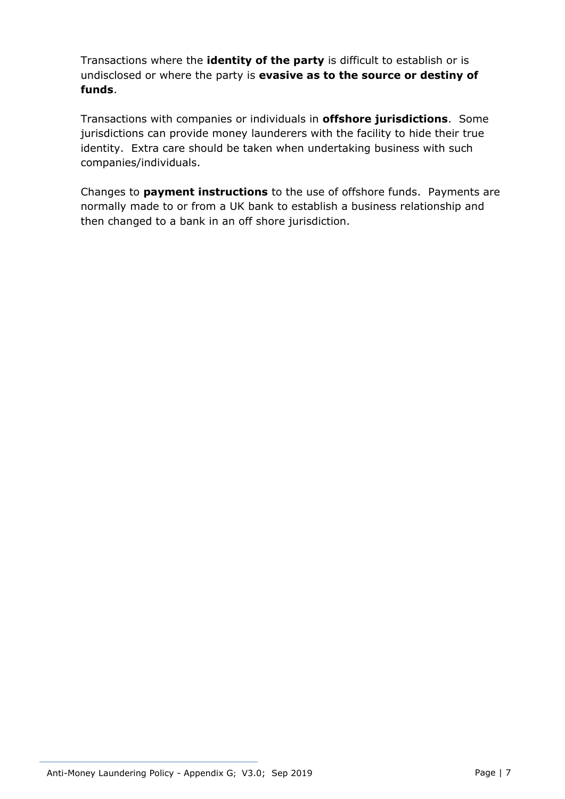Transactions where the **identity of the party** is difficult to establish or is undisclosed or where the party is **evasive as to the source or destiny of funds**.

Transactions with companies or individuals in **offshore jurisdictions**. Some jurisdictions can provide money launderers with the facility to hide their true identity. Extra care should be taken when undertaking business with such companies/individuals.

Changes to **payment instructions** to the use of offshore funds. Payments are normally made to or from a UK bank to establish a business relationship and then changed to a bank in an off shore jurisdiction.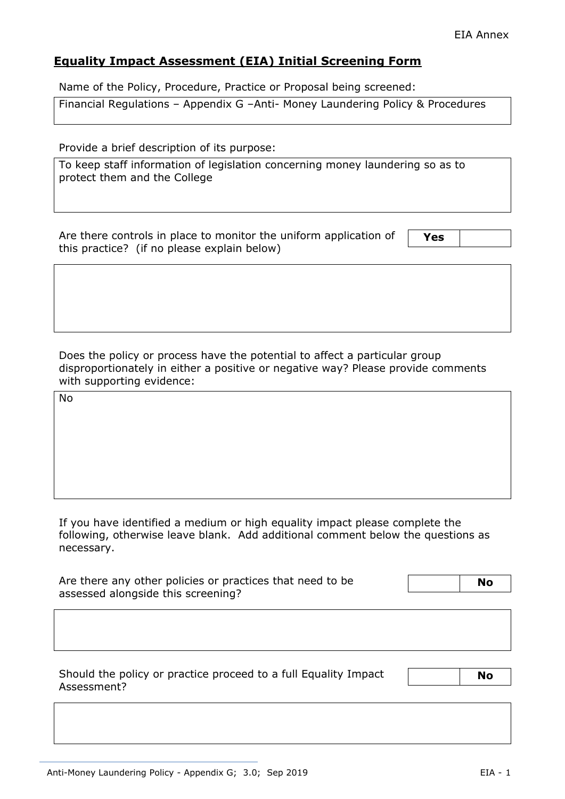## **Equality Impact Assessment (EIA) Initial Screening Form**

Name of the Policy, Procedure, Practice or Proposal being screened:

Financial Regulations – Appendix G –Anti- Money Laundering Policy & Procedures

Provide a brief description of its purpose:

To keep staff information of legislation concerning money laundering so as to protect them and the College

Are there controls in place to monitor the uniform application of this practice? (if no please explain below)

**Yes** 

Does the policy or process have the potential to affect a particular group disproportionately in either a positive or negative way? Please provide comments with supporting evidence:

No

If you have identified a medium or high equality impact please complete the following, otherwise leave blank. Add additional comment below the questions as necessary.

| Are there any other policies or practices that need to be | <b>No</b> |
|-----------------------------------------------------------|-----------|
| assessed alongside this screening?                        |           |

Should the policy or practice proceed to a full Equality Impact Assessment?

 **No**